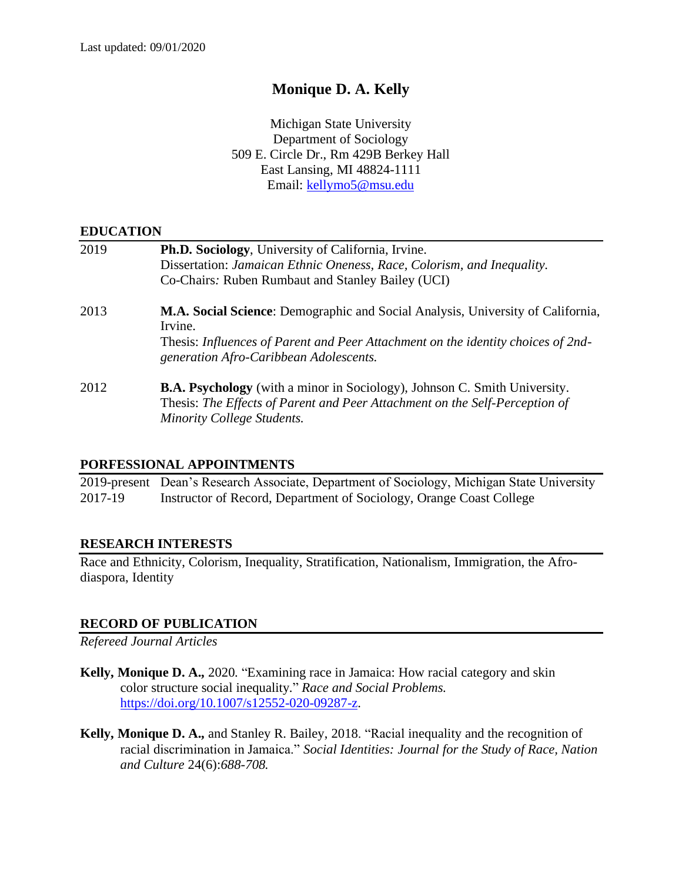# **Monique D. A. Kelly**

Michigan State University Department of Sociology 509 E. Circle Dr., Rm 429B Berkey Hall East Lansing, MI 48824-1111 Email: [kellymo5@msu.edu](mailto:kellymo5@msu.edu)

### **EDUCATION**

| 2019 | Ph.D. Sociology, University of California, Irvine.<br>Dissertation: Jamaican Ethnic Oneness, Race, Colorism, and Inequality.<br>Co-Chairs: Ruben Rumbaut and Stanley Bailey (UCI)                                               |
|------|---------------------------------------------------------------------------------------------------------------------------------------------------------------------------------------------------------------------------------|
| 2013 | <b>M.A. Social Science:</b> Demographic and Social Analysis, University of California,<br>Irvine.<br>Thesis: Influences of Parent and Peer Attachment on the identity choices of 2nd-<br>generation Afro-Caribbean Adolescents. |
| 2012 | <b>B.A. Psychology</b> (with a minor in Sociology), Johnson C. Smith University.<br>Thesis: The Effects of Parent and Peer Attachment on the Self-Perception of<br>Minority College Students.                                   |

### **PORFESSIONAL APPOINTMENTS**

2019-present Dean's Research Associate, Department of Sociology, Michigan State University 2017-19 Instructor of Record, Department of Sociology, Orange Coast College

### **RESEARCH INTERESTS**

Race and Ethnicity, Colorism, Inequality, Stratification, Nationalism, Immigration, the Afrodiaspora, Identity

# **RECORD OF PUBLICATION**

*Refereed Journal Articles*

- **Kelly, Monique D. A.,** 2020. "Examining race in Jamaica: How racial category and skin color structure social inequality." *Race and Social Problems.*  [https://doi.org/10.1007/s12552-020-09287-z.](https://doi.org/10.1007/s12552-020-09287-z)
- **Kelly, Monique D. A.,** and Stanley R. Bailey, 2018. "Racial inequality and the recognition of racial discrimination in Jamaica." *Social Identities: Journal for the Study of Race, Nation and Culture* 24(6):*688-708.*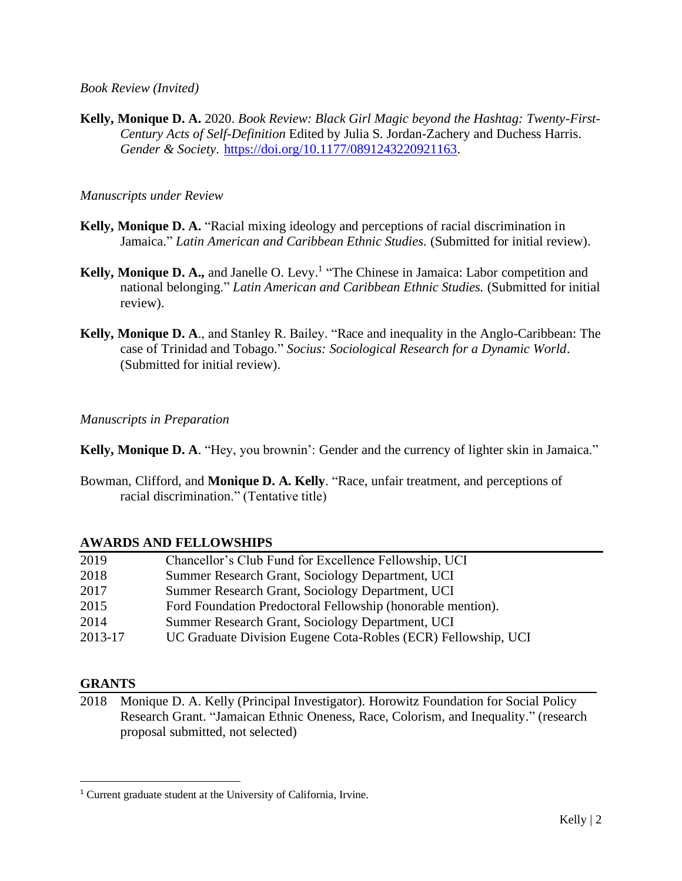*Book Review (Invited)*

**Kelly, Monique D. A.** 2020. *Book Review: Black Girl Magic beyond the Hashtag: Twenty-First-Century Acts of Self-Definition* Edited by Julia S. Jordan-Zachery and Duchess Harris. *Gender & Society*. [https://doi.org/10.1177/0891243220921163.](https://doi.org/10.1177%2F0891243220921163)

*Manuscripts under Review*

- **Kelly, Monique D. A.** "Racial mixing ideology and perceptions of racial discrimination in Jamaica." *Latin American and Caribbean Ethnic Studies.* (Submitted for initial review).
- **Kelly, Monique D. A.,** and Janelle O. Levy. 1 "The Chinese in Jamaica: Labor competition and national belonging." *Latin American and Caribbean Ethnic Studies.* (Submitted for initial review).
- **Kelly, Monique D. A**., and Stanley R. Bailey. "Race and inequality in the Anglo-Caribbean: The case of Trinidad and Tobago." *Socius: Sociological Research for a Dynamic World*. (Submitted for initial review).

*Manuscripts in Preparation*

**Kelly, Monique D. A**. "Hey, you brownin': Gender and the currency of lighter skin in Jamaica."

Bowman, Clifford, and **Monique D. A. Kelly**. "Race, unfair treatment, and perceptions of racial discrimination." (Tentative title)

# **AWARDS AND FELLOWSHIPS**

| 2019    | Chancellor's Club Fund for Excellence Fellowship, UCI         |
|---------|---------------------------------------------------------------|
| 2018    | Summer Research Grant, Sociology Department, UCI              |
| 2017    | Summer Research Grant, Sociology Department, UCI              |
| 2015    | Ford Foundation Predoctoral Fellowship (honorable mention).   |
| 2014    | Summer Research Grant, Sociology Department, UCI              |
| 2013-17 | UC Graduate Division Eugene Cota-Robles (ECR) Fellowship, UCI |
|         |                                                               |

# **GRANTS**

2018 Monique D. A. Kelly (Principal Investigator). Horowitz Foundation for Social Policy Research Grant. "Jamaican Ethnic Oneness, Race, Colorism, and Inequality." (research proposal submitted, not selected)

<sup>1</sup> Current graduate student at the University of California, Irvine.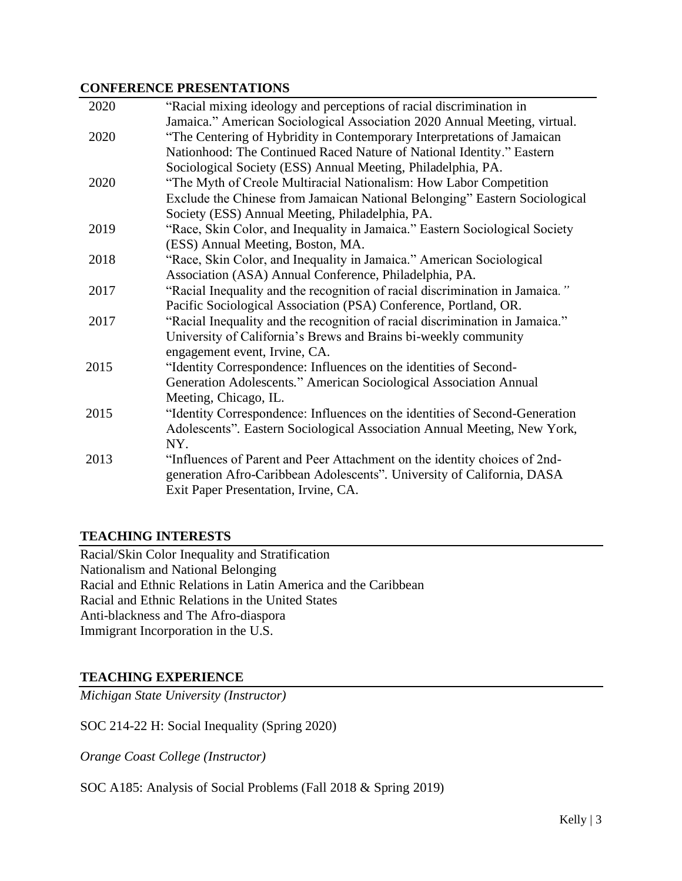### **CONFERENCE PRESENTATIONS**

| 2020 | "Racial mixing ideology and perceptions of racial discrimination in          |
|------|------------------------------------------------------------------------------|
|      | Jamaica." American Sociological Association 2020 Annual Meeting, virtual.    |
| 2020 | "The Centering of Hybridity in Contemporary Interpretations of Jamaican      |
|      | Nationhood: The Continued Raced Nature of National Identity." Eastern        |
|      | Sociological Society (ESS) Annual Meeting, Philadelphia, PA.                 |
| 2020 | "The Myth of Creole Multiracial Nationalism: How Labor Competition           |
|      | Exclude the Chinese from Jamaican National Belonging" Eastern Sociological   |
|      | Society (ESS) Annual Meeting, Philadelphia, PA.                              |
| 2019 | "Race, Skin Color, and Inequality in Jamaica." Eastern Sociological Society  |
|      | (ESS) Annual Meeting, Boston, MA.                                            |
| 2018 | "Race, Skin Color, and Inequality in Jamaica." American Sociological         |
|      | Association (ASA) Annual Conference, Philadelphia, PA.                       |
| 2017 | "Racial Inequality and the recognition of racial discrimination in Jamaica." |
|      | Pacific Sociological Association (PSA) Conference, Portland, OR.             |
| 2017 | "Racial Inequality and the recognition of racial discrimination in Jamaica." |
|      | University of California's Brews and Brains bi-weekly community              |
|      | engagement event, Irvine, CA.                                                |
| 2015 | "Identity Correspondence: Influences on the identities of Second-            |
|      | Generation Adolescents." American Sociological Association Annual            |
|      | Meeting, Chicago, IL.                                                        |
| 2015 | "Identity Correspondence: Influences on the identities of Second-Generation  |
|      | Adolescents". Eastern Sociological Association Annual Meeting, New York,     |
|      | NY.                                                                          |
| 2013 | "Influences of Parent and Peer Attachment on the identity choices of 2nd-    |
|      | generation Afro-Caribbean Adolescents". University of California, DASA       |
|      | Exit Paper Presentation, Irvine, CA.                                         |
|      |                                                                              |

# **TEACHING INTERESTS**

Racial/Skin Color Inequality and Stratification Nationalism and National Belonging Racial and Ethnic Relations in Latin America and the Caribbean Racial and Ethnic Relations in the United States Anti-blackness and The Afro-diaspora Immigrant Incorporation in the U.S.

### **TEACHING EXPERIENCE**

*Michigan State University (Instructor)*

SOC 214-22 H: Social Inequality (Spring 2020)

*Orange Coast College (Instructor)*

SOC A185: Analysis of Social Problems (Fall 2018 & Spring 2019)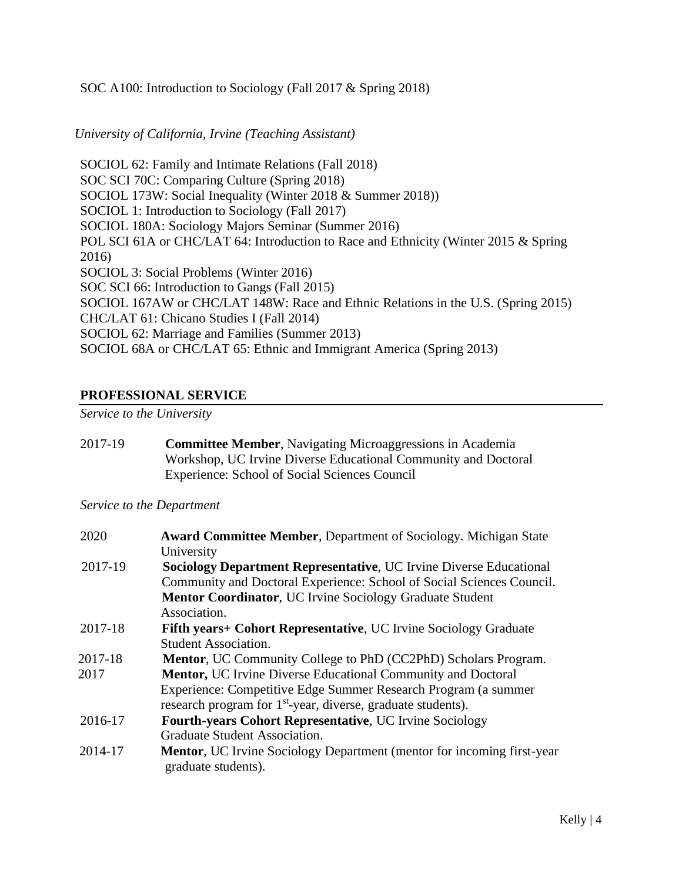### SOC A100: Introduction to Sociology (Fall 2017 & Spring 2018)

### *University of California, Irvine (Teaching Assistant)*

SOCIOL 62: Family and Intimate Relations (Fall 2018) SOC SCI 70C: Comparing Culture (Spring 2018) SOCIOL 173W: Social Inequality (Winter 2018 & Summer 2018)) SOCIOL 1: Introduction to Sociology (Fall 2017) SOCIOL 180A: Sociology Majors Seminar (Summer 2016) POL SCI 61A or CHC/LAT 64: Introduction to Race and Ethnicity (Winter 2015 & Spring 2016) SOCIOL 3: Social Problems (Winter 2016) SOC SCI 66: Introduction to Gangs (Fall 2015) SOCIOL 167AW or CHC/LAT 148W: Race and Ethnic Relations in the U.S. (Spring 2015) CHC/LAT 61: Chicano Studies I (Fall 2014) SOCIOL 62: Marriage and Families (Summer 2013) SOCIOL 68A or CHC/LAT 65: Ethnic and Immigrant America (Spring 2013)

### **PROFESSIONAL SERVICE**

*Service to the University*

| 2017-19 | <b>Committee Member, Navigating Microaggressions in Academia</b> |
|---------|------------------------------------------------------------------|
|         | Workshop, UC Irvine Diverse Educational Community and Doctoral   |
|         | Experience: School of Social Sciences Council                    |

#### *Service to the Department*

| 2020    | <b>Award Committee Member, Department of Sociology. Michigan State</b><br>University                  |
|---------|-------------------------------------------------------------------------------------------------------|
| 2017-19 | <b>Sociology Department Representative, UC Irvine Diverse Educational</b>                             |
|         | Community and Doctoral Experience: School of Social Sciences Council.                                 |
|         | <b>Mentor Coordinator, UC Irvine Sociology Graduate Student</b>                                       |
|         | Association.                                                                                          |
| 2017-18 | Fifth years + Cohort Representative, UC Irvine Sociology Graduate                                     |
|         | <b>Student Association.</b>                                                                           |
| 2017-18 | Mentor, UC Community College to PhD (CC2PhD) Scholars Program.                                        |
| 2017    | <b>Mentor, UC Irvine Diverse Educational Community and Doctoral</b>                                   |
|         | Experience: Competitive Edge Summer Research Program (a summer                                        |
|         | research program for 1 <sup>st</sup> -year, diverse, graduate students).                              |
| 2016-17 | Fourth-years Cohort Representative, UC Irvine Sociology                                               |
|         | Graduate Student Association.                                                                         |
| 2014-17 | <b>Mentor</b> , UC Irvine Sociology Department (mentor for incoming first-year<br>graduate students). |